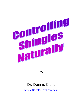

By

# Dr. Dennis Clark

[NaturalShinglesTreatment.com](http://naturalshinglestreatment.com/)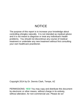# **NOTICE**

The purpose of this report is to increase your knowledge about controlling shingles naturally. It is not intended as medical advice and it is not meant to diagnose or treat any individual's health problems. You should not discontinue any course of medical treatment or undertake any new treatment without first consulting your own healthcare practitioner.

Copyright 2014 by Dr. Dennis Clark, Tempe, AZ

PERMISSIONS: *YES!* You may copy and distribute this document by electronic or other means, without charge in its entirety, without alteration, for non-commercial use. Please do so!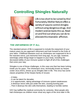# **Controlling Shingles Naturally**



Life is too short to be ruined by this! Fortunately, Mother Nature offers a variety of ways to control shingles without using dangerous drugs. And modern science backs this up. Read on and find out what you can do to alleviate this miserable affliction.

# **THE UNFAIRNESS OF IT ALL**

The standard picture of life is supposed to include the enjoyment of your mature years as you approach retirement and look forward to the fruits of your labor. Childhood diseases such as chickenpox are supposed to be in the rearview mirror, just memories from long ago. As you age, however, seemingly unfair things begin to happen to your body, including the decreased ability of your immune system to fight off all of the challenges that come your way.

Shingles is one of those challenges, in this case one that has been lurking inside you for years. The chickenpox virus, technically known as herpes zoster virus (HZV), shows up as shingles later in life. This virus has some classic properties of the herpes family of viruses:

- ...It hides
- ...It can be latent for decades
- ...It is opportunistic, taking advantage of immune system weaknesses
- ...It destroys nerve cells just under the skin, causing burning pain
- ...Then it destroys the skin cells themselves, leading to horrible rashes

HZV has baffled the medical community for centuries. Most people who had chickenpox as children never show any signs of the virus later in life.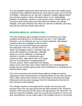You are probably reading this report because you are in the smaller group of people whose childhood disease has come back to haunt you in the form of shingles. Although we can say that, in general, shingles appears when your immune system is down, this factor alone is not a dependable predictor of outbreaks. Genetics, environment, stress, overall health, and numerous other factors play roles that influence whether you will get shingles. They also influence how often you will have outbreaks, how long they will last, and how intense they will be.

### **MODERN MEDICAL APPROACHES**

The only certainties about shingles are that it is inherently not a fatal condition and that there is no permanent cure for it. Your challenge, therefore, is to do whatever you can to control outbreaks. Mainstream

medicine offers two strategies at the moment. One is the use of antiviral drugs that suppress the replication of the virus, and the other is a rather new shingles vaccine. Antiviral drugs can reduce the frequency of outbreaks, although drugs are not very effective in reducing the duration of rashes or in relieving the pain caused by them. Side effects from such drugs arise as a consequence of suppressing the immune system, which undermines the healing



power of your own body. Also, these medicines are contraindicated for people who are already taking certain heart medications or medications for lowering blood sugar.

The most commonly used antiviral drugs against shingles are being replaced by newer drugs because of expiring patents on the older versions. All too often, decisions by doctors on which drugs to prescribe are being influenced more by sales messages from the manufacturers than by the best interests of their patients.

The shingles vaccine is only approved for people over 50 years old, because that is the only age group that has been studied so far. Research predicts a 50% percent success rate in this age group in the short term. No long-term data are available, since this vaccine has not been in use for very long. Nevertheless, as you might expect, the shingles vaccine is now being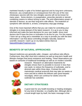marketed heavily in spite of its limited approval and its long-term unknowns. Moreover, any complications or consequences from the use of the new chickenpox vaccine with the new shingles vaccine will not be known for many years. Some doctors, in exasperation, prescribe steroids or steroidcontaining creams to relieve itching or pain. The anti-inflammatory power of steroids is famous, as are their long-term side effects. The treatment of symptoms with steroids is, at best, a temporary stop-gap strategy.

One of the most important efforts that you can make for controlling your shingles is to keep abreast of the latest research. It is up to you to stay informed and make the best decisions for your own health, since most doctors don?t have the time or inclination to do this for you. For this reason, I have set up a blog and a newsletter as a way to provide you with the best information I can find about controlling shingles naturally, based on scientific research. Catch up on my latest entries there at [NaturalShinglesTreatment.com.](http://naturalshinglestreatment.com/)

# **BENEFITS OF NATURAL APPROACHES**

Natural medicines are generally safer, cheaper, and without side effects. Furthermore, they offer short term solutions as well as long term health and lifestyle changes that boost resistance and healing. These observations are based on centuries of traditional knowledge as well as on modern scientific



research. Research on alternative treatments for shingles shows that it is possible to recover in less than one week, to reduce the frequency of outbreaks, and to diminish pain within three days. Contrast this with mainstream medical protocols that may take six weeks or more and fail to relieve the leftover pain (post-herpetic neuralgia), which can continue for weeks once the outbreak has subsided.



# **DIETARY STRATEGIES**



A good start for any health-boosting or healing strategies, for any kind of disorder, is a healthy diet. Although diet is a book-length topic by itself, the basic message is that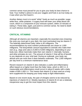common sense must prevail for you to give your body its best chance to heal. Your mother's advice to eat your veggies and fruits is as true today as it was when you first heard it.

Another dietary must is to avoid "white" foods as much as possible: sugar, white flour, white potatoes. A sugary food will lower your white blood cell count, which is a component of your immune system, within 10 minutes of eating it. These data, again, just point to common sense. No need to dwell on such obvious recommendations.

#### **CRITICAL VITAMINS**

Although all vitamins are important, especially the essential ones (meaning the ones you must get in your diet), the most overlooked may be vitamin C. The federally determined Daily Value is 60 milligrams. The recommendations by most nutrition professionals are closer to 1,000 milligrams. The biosynthetic amount equivalent to animals who make their own (e.g., dogs and cats) is 6,000 to 9,000 milligrams, depending on your body size. (Most mammals make their own vitamin C internally; humans and other primates do not.) The amount of vitamin C that will be of benefit to you depends on your viral load. During an outbreak, your body can absorb and use more than it does between outbreaks. The 1,000 milligram per day level is a minimum maintenance dose.

Recent research on vitamin E also indicates a useful anti-inflammatory affect based on a higher level than the Daily Value, which is 400 I.U. A measurable anti-inflammatory result occurs in about 8 weeks with a daily intake of 800-1,600 I.U. This means that vitamin E is best used as a longterm supplement for keeping your body ready to fight inflammation.

Based on one recent study, the pain of shingles seems to be reduced by injections of vitamin B-12. Weekly injections of vitamin B-12 are a relatively inexpensive way to get the most impact from this vitamin.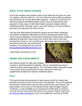### **WHAT TO DO ABOUT RASHES**

One of the simplest and quickest ways to get relief from the pain of a rash is to apply a cold wet cloth to it. You can make the cloth colder by putting it into the freezer for a short while after wetting it. Vitamin E oil and emu oil both have topical anti-inflammatory activity. Emu oil is becoming more popular for many types of skin inflammation besides shingles rashes, including eczema, psoriasis, burns, cuts, and rosacea. It is very soothing and does not clog pores like other oils do.

The two best herb-based formulas for topical use are those containing lemonbalm oil (Melissa officinalis) and those containing creosote bush resins (Larrea tridentata). One product containing creosote bush includes a patented formula that I have done a lot of work with, and it is the best formula that I know of. You can find more information about this formula,

and where to get the only product that contains it, by sending me an email at [dennis@naturalshinglestreatment.com.](mailto:dennis@naturalshinglestreatment.com)

I will answer as quickly as I can.



#### **HERBS AND SUPPLEMENTS**

Any internet search for help with shingles

is going to yield thousands of websites, with an overwhelming array of choices among natural approaches. The information below represents what I have found to be the best three of these, based on herbs and supplements besides the vitamins mentioned above.

#### **Herbs**

The same formula that provides the best topical control for rashes also provides the best oral form for the control of outbreaks. This is the patented formula that contains leaf resin from the creosote bush (see above). The latest edition of my book on this herbal formula, titled *Shingles Natural Treatment*, is now available as an inexpensive Kindle book on Amazon. You can find out more about this book on my Amazon Author Page here: [Dr. Dennis Clark on Amazon.](http://www.amazon.com/Dr.-Dennis-Clark/e/B00JDMPRZO/ref=ntt_athr_dp_pel_pop_1) (If you are unwilling to purchase a Kindle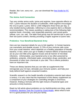Reader, like I am, worry not ... you can download the [free Kindle for PC](http://www.amazon.com/gp/feature.html/ref=kcp_pc_mkt_lnd?docId=1000426311) likeI did.)

#### **The Amino Acid Connection**

Two very similar amino acids, lysine and arginine, have opposite effects on HZV. Lysine reduces the duration of outbreaks, while arginine encourages the virus to grow. Lysine, 500 to 1,000 milligrams three times per day, is only needed during outbreaks. Adhering to a low-arginine diet is a lifestyle recommendation. This means avoiding or eating less of the following higharginine foods: chocolate, nuts (especially peanuts), and cereal grains (wheat, corn, rye, oat). The latter food group may be harmful due in part to their low lysine content, thereby providing a higher arginine to lysine ratio.

#### **Probiotics: Your Beneficial Bacterial Army**

Here are two important details for you to link together: 1) Certain bacteria can overwhelm and disable viruses; 2) 70% of your immune cells come from your small intestine, which depends on a healthy population of friendly bacteria. In fact, when your gut is healthy it harbors billions of bacteria that act as your own little army against viruses and all manner of microbial infections. Unfortunately, your bacterial army is too often poisoned by antibiotics, antacids, chlorinated water, prescription drugs, pesticides, and thousands of other toxic chemicals in your diet. This is where probiotics have an important role.

These are dietary bacteria that you can take as supplements that reinvigorate your GI tract, stimulate your immune system, and help your body defend itself against unwanted invaders.

Scientific research on the health benefits of probiotics extends back about a century. It is very clear that the importance of this dietary supplement as a component of your strategies for controlling shingles is enormous. However, finding a formula with the right mixture of bacterial types and amounts is tricky business.

Read my full article about probiotics on my HerbScientist.com blog, under [Probiotics: Bacteria That Are Crucial for Good Health,](http://herbscientist.com/probiotics-bacteria-crucial-good-health/) about what to look for in a good product for you and your family.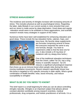#### **STRESS MANAGEMENT**

The incidence and severity of shingles increase with increasing amounts of stress. This includes physical as well as psychological stress. Regarding the latter, daily lifestyle in our current society is more stressful than ever, and our stress is made worse by sleep deprivation. Good sleep and regular relaxation would seem to be antidotes to these aggravations, and scientific research reveals many strategies in support of this notion.

Numerous herbs have been well-established for enhancing relaxation and good sleep. These include the top relaxation herbs, valerian, hops, and



kava kava. My favorite sleep supplements are formulas comprising several of these. Not everyone responds the same to any one formula, though. You have to experiment a little to find the best one for you. (I also include a 20 mg dose of melatonin with my sleepy-time herbs.)

One of the traditional relaxation techniques from the Orient, called Tai Chi, has a long history in scientific research. Tai Chi induces a significant physiological response

that shows up as an immune boost when people relax during the slowmoving meditative movements. Recent research specifically shows how this boost is targeted to HZV-specific immunity in older adults. What a great combination of health benefits: relax, boost immunity, *and* reduce susceptibility to shingles!

#### **WHAT ELSE DO YOU NEED TO KNOW?**

This brief report is a small beginning for what you can do about controlling shingles naturally. Shingles is an important subject that attracts almost constant attention worldwide among research scientists, medical professionals, drug companies, and holistic practitioners of all kinds. It is a